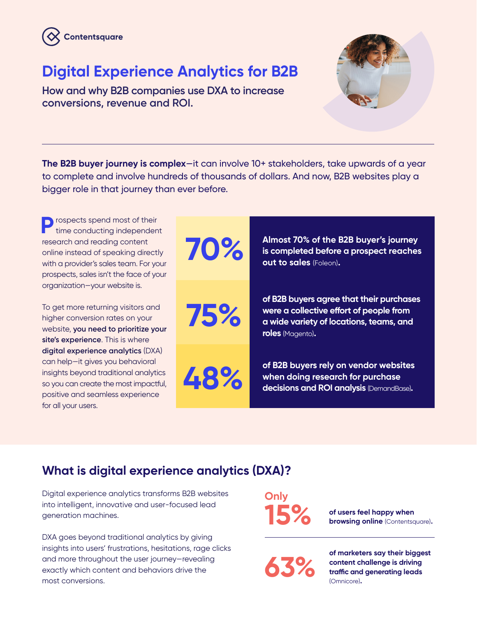

# **Digital Experience Analytics for B2B**

**How and why B2B companies use DXA to increase conversions, revenue and ROI.**



**The B2B buyer journey is complex**—it can involve 10+ stakeholders, take upwards of a year to complete and involve hundreds of thousands of dollars. And now, B2B websites play a bigger role in that journey than ever before.



### **What is digital experience analytics (DXA)?**

Digital experience analytics transforms B2B websites into intelligent, innovative and user-focused lead generation machines.

DXA goes beyond traditional analytics by giving insights into users' frustrations, hesitations, rage clicks and more throughout the user journey—revealing exactly which content and behaviors drive the most conversions.

**Only 15%**

**of users feel happy when browsing online** (Contentsquare)**.**

**63%**

**of marketers say their biggest content challenge is driving traffic and generating leads**  (Omnicore)**.**